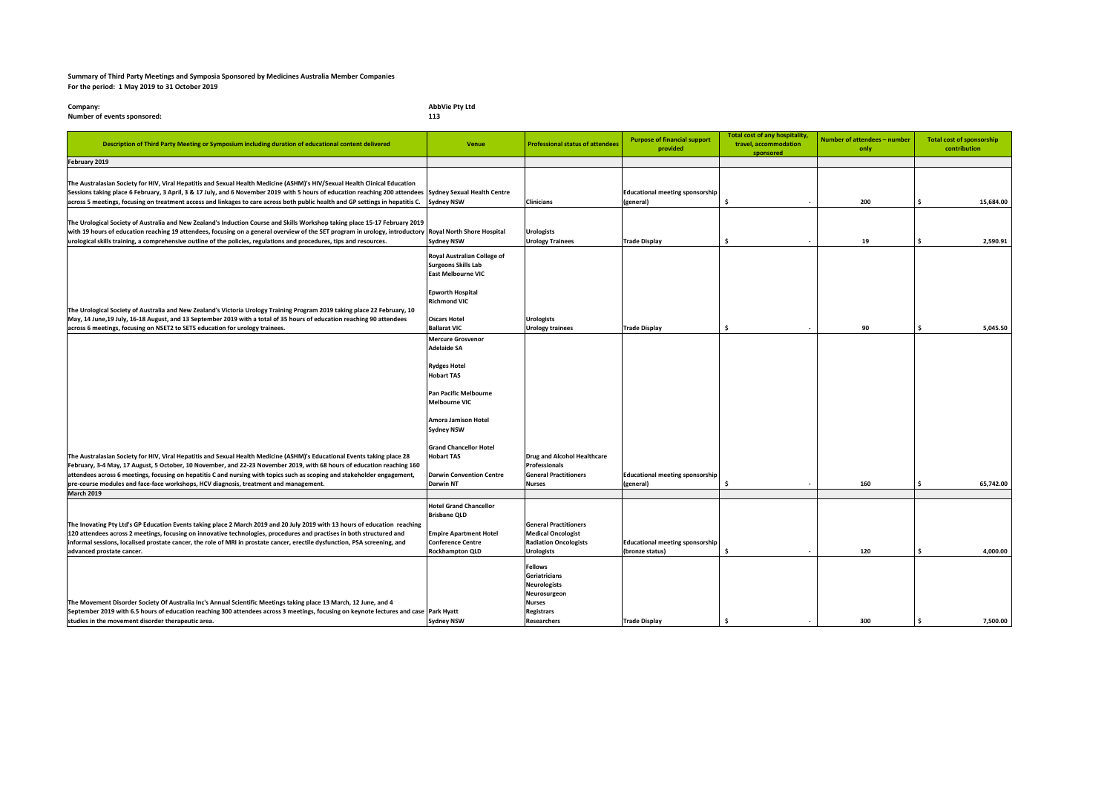## **Summary of Third Party Meetings and Symposia Sponsored by Medicines Australia Member Companies For the period: 1 May 2019 to 31 October 2019**

| Company:                    | <b>AbbVie Pty Ltd</b> |
|-----------------------------|-----------------------|
| Number of events sponsored: | 113                   |

| Description of Third Party Meeting or Symposium including duration of educational content delivered                                                                                                                                                                                                                                                                                                                                                                    | Venue                                                                                                                                                                                                                                                                                                       | <b>Professional status of attendees</b>                                                                                            | <b>Purpose of financial support</b><br>provided           | <b>Total cost of any hospitality,</b><br>travel, accommodation<br>sponsored | Number of attendees - number<br>only | <b>Total cost of sponsorship</b><br>contribution |
|------------------------------------------------------------------------------------------------------------------------------------------------------------------------------------------------------------------------------------------------------------------------------------------------------------------------------------------------------------------------------------------------------------------------------------------------------------------------|-------------------------------------------------------------------------------------------------------------------------------------------------------------------------------------------------------------------------------------------------------------------------------------------------------------|------------------------------------------------------------------------------------------------------------------------------------|-----------------------------------------------------------|-----------------------------------------------------------------------------|--------------------------------------|--------------------------------------------------|
| February 2019                                                                                                                                                                                                                                                                                                                                                                                                                                                          |                                                                                                                                                                                                                                                                                                             |                                                                                                                                    |                                                           |                                                                             |                                      |                                                  |
| The Australasian Society for HIV, Viral Hepatitis and Sexual Health Medicine (ASHM)'s HIV/Sexual Health Clinical Education<br>Sessions taking place 6 February, 3 April, 3 & 17 July, and 6 November 2019 with 5 hours of education reaching 200 attendees Sydney Sexual Health Centre<br>across 5 meetings, focusing on treatment access and linkages to care across both public health and GP settings in hepatitis C.                                               | <b>Sydney NSW</b>                                                                                                                                                                                                                                                                                           | <b>Clinicians</b>                                                                                                                  | <b>Educational meeting sponsorship</b><br>(general)       | \$                                                                          | 200                                  | 15,684.00<br>Ŝ                                   |
| The Urological Society of Australia and New Zealand's Induction Course and Skills Workshop taking place 15-17 February 2019<br>with 19 hours of education reaching 19 attendees, focusing on a general overview of the SET program in urology, introductory Royal North Shore Hospital<br>urological skills training, a comprehensive outline of the policies, regulations and procedures, tips and resources.                                                         | <b>Sydney NSW</b>                                                                                                                                                                                                                                                                                           | <b>Urologists</b><br><b>Urology Trainees</b>                                                                                       | <b>Trade Display</b>                                      | ŝ                                                                           | 19                                   | 2.590.91<br>Ś                                    |
| The Urological Society of Australia and New Zealand's Victoria Urology Training Program 2019 taking place 22 February, 10<br>May, 14 June, 19 July, 16-18 August, and 13 September 2019 with a total of 35 hours of education reaching 90 attendees                                                                                                                                                                                                                    | Royal Australian College of<br><b>Surgeons Skills Lab</b><br><b>East Melbourne VIC</b><br><b>Epworth Hospital</b><br><b>Richmond VIC</b><br><b>Oscars Hotel</b>                                                                                                                                             | <b>Urologists</b>                                                                                                                  |                                                           |                                                                             |                                      |                                                  |
| across 6 meetings, focusing on NSET2 to SET5 education for urology trainees.                                                                                                                                                                                                                                                                                                                                                                                           | <b>Ballarat VIC</b>                                                                                                                                                                                                                                                                                         | <b>Urology trainees</b>                                                                                                            | <b>Trade Display</b>                                      | Ŝ.                                                                          | 90                                   | 5.045.50<br>\$                                   |
| The Australasian Society for HIV, Viral Hepatitis and Sexual Health Medicine (ASHM)'s Educational Events taking place 28<br>February, 3-4 May, 17 August, 5 October, 10 November, and 22-23 November 2019, with 68 hours of education reaching 160<br>attendees across 6 meetings, focusing on hepatitis C and nursing with topics such as scoping and stakeholder engagement,<br>pre-course modules and face-face workshops, HCV diagnosis, treatment and management. | <b>Mercure Grosvenor</b><br><b>Adelaide SA</b><br><b>Rydges Hotel</b><br><b>Hobart TAS</b><br>Pan Pacific Melbourne<br><b>Melbourne VIC</b><br><b>Amora Jamison Hotel</b><br><b>Sydney NSW</b><br><b>Grand Chancellor Hotel</b><br><b>Hobart TAS</b><br><b>Darwin Convention Centre</b><br><b>Darwin NT</b> | <b>Drug and Alcohol Healthcare</b><br><b>Professionals</b><br><b>General Practitioners</b><br><b>Nurses</b>                        | <b>Educational meeting sponsorship</b><br>(general)       | Ŝ.                                                                          | 160                                  | 65,742.00<br>s.                                  |
|                                                                                                                                                                                                                                                                                                                                                                                                                                                                        |                                                                                                                                                                                                                                                                                                             |                                                                                                                                    |                                                           |                                                                             |                                      |                                                  |
| <b>March 2019</b><br>The Inovating Pty Ltd's GP Education Events taking place 2 March 2019 and 20 July 2019 with 13 hours of education reaching<br>120 attendees across 2 meetings, focusing on innovative technologies, procedures and practises in both structured and<br>informal sessions, localised prostate cancer, the role of MRI in prostate cancer, erectile dysfunction, PSA screening, and<br>advanced prostate cancer.                                    | <b>Hotel Grand Chancellor</b><br><b>Brisbane QLD</b><br><b>Empire Apartment Hotel</b><br><b>Conference Centre</b><br><b>Rockhampton QLD</b>                                                                                                                                                                 | <b>General Practitioners</b><br><b>Medical Oncologist</b><br><b>Radiation Oncologists</b><br><b>Urologists</b>                     | <b>Educational meeting sponsorship</b><br>(bronze status) | Ŝ.                                                                          | 120                                  | 4,000.00<br>Ŝ                                    |
| The Movement Disorder Society Of Australia Inc's Annual Scientific Meetings taking place 13 March, 12 June, and 4<br>September 2019 with 6.5 hours of education reaching 300 attendees across 3 meetings, focusing on keynote lectures and case Park Hyatt<br>studies in the movement disorder therapeutic area.                                                                                                                                                       | <b>Sydney NSW</b>                                                                                                                                                                                                                                                                                           | <b>Fellows</b><br>Geriatricians<br><b>Neurologists</b><br>Neurosurgeon<br><b>Nurses</b><br><b>Registrars</b><br><b>Researchers</b> | <b>Trade Display</b>                                      | Ŝ.                                                                          | 300                                  | \$<br>7,500.00                                   |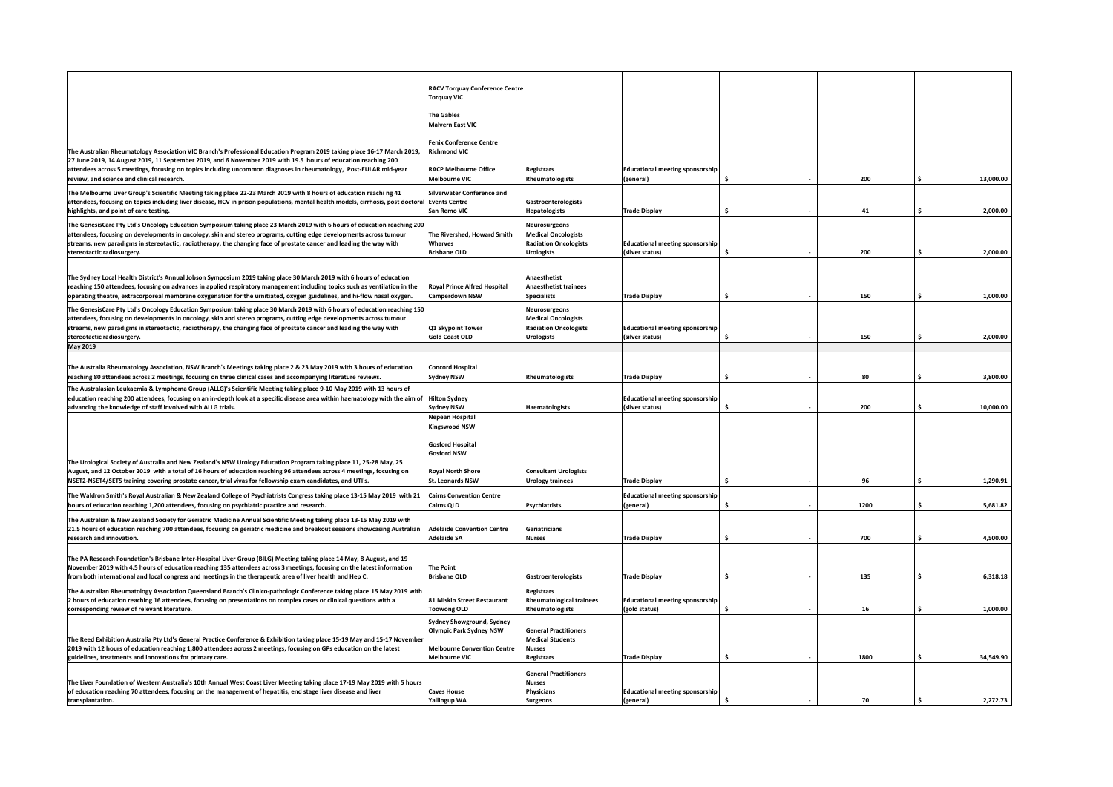|                                                                                                                                                                                                                                                                                                  | <b>RACV Torquay Conference Centre</b>                                     |                                                            |                                                           |    |      |               |
|--------------------------------------------------------------------------------------------------------------------------------------------------------------------------------------------------------------------------------------------------------------------------------------------------|---------------------------------------------------------------------------|------------------------------------------------------------|-----------------------------------------------------------|----|------|---------------|
|                                                                                                                                                                                                                                                                                                  | <b>Torquay VIC</b>                                                        |                                                            |                                                           |    |      |               |
|                                                                                                                                                                                                                                                                                                  | <b>The Gables</b><br><b>Malvern East VIC</b>                              |                                                            |                                                           |    |      |               |
| The Australian Rheumatology Association VIC Branch's Professional Education Program 2019 taking place 16-17 March 2019,                                                                                                                                                                          | <b>Fenix Conference Centre</b><br><b>Richmond VIC</b>                     |                                                            |                                                           |    |      |               |
| 27 June 2019, 14 August 2019, 11 September 2019, and 6 November 2019 with 19.5 hours of education reaching 200<br>attendees across 5 meetings, focusing on topics including uncommon diagnoses in rheumatology, Post-EULAR mid-year                                                              | <b>RACP Melbourne Office</b>                                              | <b>Registrars</b>                                          | <b>Educational meeting sponsorship</b>                    |    |      |               |
| review, and science and clinical research.                                                                                                                                                                                                                                                       | <b>Melbourne VIC</b>                                                      | Rheumatologists                                            | (general)                                                 |    | 200  | 13,000.00     |
| The Melbourne Liver Group's Scientific Meeting taking place 22-23 March 2019 with 8 hours of education reaching 41<br>attendees, focusing on topics including liver disease, HCV in prison populations, mental health models, cirrhosis, post doctoral<br>highlights, and point of care testing. | <b>Silverwater Conference and</b><br><b>Events Centre</b><br>San Remo VIC | Gastroenterologists<br>Hepatologists                       | <b>Trade Display</b>                                      | \$ | 41   | 2,000.00<br>Ś |
| The GenesisCare Pty Ltd's Oncology Education Symposium taking place 23 March 2019 with 6 hours of education reaching 200<br>attendees, focusing on developments in oncology, skin and stereo programs, cutting edge developments across tumour                                                   | The Rivershed, Howard Smith                                               | Neurosurgeons<br><b>Medical Oncologists</b>                |                                                           |    |      |               |
| streams, new paradigms in stereotactic, radiotherapy, the changing face of prostate cancer and leading the way with<br>stereotactic radiosurgery.                                                                                                                                                | Wharves<br><b>Brisbane OLD</b>                                            | <b>Radiation Oncologists</b><br><b>Urologists</b>          | <b>Educational meeting sponsorship</b><br>(silver status) |    | 200  | Ś<br>2,000.00 |
|                                                                                                                                                                                                                                                                                                  |                                                                           |                                                            |                                                           |    |      |               |
| The Sydney Local Health District's Annual Jobson Symposium 2019 taking place 30 March 2019 with 6 hours of education<br>reaching 150 attendees, focusing on advances in applied respiratory management including topics such as ventilation in the                                               | <b>Royal Prince Alfred Hospital</b>                                       | Anaesthetist<br><b>Anaesthetist trainees</b>               |                                                           |    |      |               |
| operating theatre, extracorporeal membrane oxygenation for the urnitiated, oxygen guidelines, and hi-flow nasal oxygen.                                                                                                                                                                          | Camperdown NSW                                                            | <b>Specialists</b>                                         | <b>Trade Display</b>                                      | Ś  | 150  | 1,000.00<br>Ś |
| The GenesisCare Pty Ltd's Oncology Education Symposium taking place 30 March 2019 with 6 hours of education reaching 150                                                                                                                                                                         |                                                                           | Neurosurgeons                                              |                                                           |    |      |               |
| attendees, focusing on developments in oncology, skin and stereo programs, cutting edge developments across tumour<br>streams, new paradigms in stereotactic, radiotherapy, the changing face of prostate cancer and leading the way with                                                        | Q1 Skypoint Tower                                                         | <b>Medical Oncologists</b><br><b>Radiation Oncologists</b> | <b>Educational meeting sponsorship</b>                    |    |      |               |
| stereotactic radiosurgery.                                                                                                                                                                                                                                                                       | <b>Gold Coast OLD</b>                                                     | <b>Urologists</b>                                          | (silver status)                                           |    | 150  | 2,000.00      |
| May 2019                                                                                                                                                                                                                                                                                         |                                                                           |                                                            |                                                           |    |      |               |
| The Australia Rheumatology Association, NSW Branch's Meetings taking place 2 & 23 May 2019 with 3 hours of education<br>reaching 80 attendees across 2 meetings, focusing on three clinical cases and accompanying literature reviews.                                                           | <b>Concord Hospital</b><br><b>Sydney NSW</b>                              | Rheumatologists                                            | <b>Trade Display</b>                                      |    | 80   | 3,800.00      |
| The Australasian Leukaemia & Lymphoma Group (ALLG)'s Scientific Meeting taking place 9-10 May 2019 with 13 hours of                                                                                                                                                                              |                                                                           |                                                            |                                                           |    |      |               |
| education reaching 200 attendees, focusing on an in-depth look at a specific disease area within haematology with the aim of<br>advancing the knowledge of staff involved with ALLG trials.                                                                                                      | <b>Hilton Sydney</b><br><b>Sydney NSW</b>                                 | Haematologists                                             | <b>Educational meeting sponsorship</b><br>(silver status) |    | 200  | 10,000.00     |
|                                                                                                                                                                                                                                                                                                  | <b>Nepean Hospital</b><br><b>Kingswood NSW</b>                            |                                                            |                                                           |    |      |               |
|                                                                                                                                                                                                                                                                                                  |                                                                           |                                                            |                                                           |    |      |               |
|                                                                                                                                                                                                                                                                                                  | <b>Gosford Hospital</b><br><b>Gosford NSW</b>                             |                                                            |                                                           |    |      |               |
| The Urological Society of Australia and New Zealand's NSW Urology Education Program taking place 11, 25-28 May, 25                                                                                                                                                                               |                                                                           |                                                            |                                                           |    |      |               |
| August, and 12 October 2019 with a total of 16 hours of education reaching 96 attendees across 4 meetings, focusing on<br>NSET2-NSET4/SET5 training covering prostate cancer, trial vivas for fellowship exam candidates, and UTI's.                                                             | <b>Royal North Shore</b><br><b>St. Leonards NSW</b>                       | <b>Consultant Urologists</b><br><b>Urology trainees</b>    | <b>Trade Display</b>                                      | Ŝ. | 96   | 1,290.91      |
| The Waldron Smith's Royal Australian & New Zealand College of Psychiatrists Congress taking place 13-15 May 2019 with 21                                                                                                                                                                         | <b>Cairns Convention Centre</b>                                           |                                                            | <b>Educational meeting sponsorship</b>                    |    |      |               |
| hours of education reaching 1,200 attendees, focusing on psychiatric practice and research.                                                                                                                                                                                                      | Cairns QLD                                                                | Psychiatrists                                              | (general)                                                 |    | 1200 | 5,681.82      |
| The Australian & New Zealand Society for Geriatric Medicine Annual Scientific Meeting taking place 13-15 May 2019 with                                                                                                                                                                           |                                                                           |                                                            |                                                           |    |      |               |
| 21.5 hours of education reaching 700 attendees, focusing on geriatric medicine and breakout sessions showcasing Australian<br>research and innovation.                                                                                                                                           | <b>Adelaide Convention Centre</b><br><b>Adelaide SA</b>                   | Geriatricians<br><b>Nurses</b>                             | <b>Trade Display</b>                                      |    | 700  | 4,500.00      |
|                                                                                                                                                                                                                                                                                                  |                                                                           |                                                            |                                                           |    |      |               |
| The PA Research Foundation's Brisbane Inter-Hospital Liver Group (BILG) Meeting taking place 14 May, 8 August, and 19<br>November 2019 with 4.5 hours of education reaching 135 attendees across 3 meetings, focusing on the latest information                                                  | <b>The Point</b>                                                          |                                                            |                                                           |    |      |               |
| from both international and local congress and meetings in the therapeutic area of liver health and Hep C.                                                                                                                                                                                       | <b>Brisbane QLD</b>                                                       | Gastroenterologists                                        | <b>Trade Display</b>                                      |    | 135  | 6,318.18      |
| The Australian Rheumatology Association Queensland Branch's Clinico-pathologic Conference taking place 15 May 2019 with                                                                                                                                                                          |                                                                           | <b>Registrars</b>                                          |                                                           |    |      |               |
| 2 hours of education reaching 16 attendees, focusing on presentations on complex cases or clinical questions with a<br>corresponding review of relevant literature.                                                                                                                              | 81 Miskin Street Restaurant<br><b>Toowong OLD</b>                         | <b>Rheumatological trainees</b><br>Rheumatologists         | <b>Educational meeting sponsorship</b><br>(gold status)   |    | 16   | 1,000.00      |
|                                                                                                                                                                                                                                                                                                  | Sydney Showground, Sydney                                                 |                                                            |                                                           |    |      |               |
| The Reed Exhibition Australia Pty Ltd's General Practice Conference & Exhibition taking place 15-19 May and 15-17 November                                                                                                                                                                       | <b>Olympic Park Sydney NSW</b>                                            | <b>General Practitioners</b><br><b>Medical Students</b>    |                                                           |    |      |               |
| 2019 with 12 hours of education reaching 1,800 attendees across 2 meetings, focusing on GPs education on the latest                                                                                                                                                                              | <b>Melbourne Convention Centre</b>                                        | Nurses                                                     |                                                           |    |      |               |
| guidelines, treatments and innovations for primary care.                                                                                                                                                                                                                                         | <b>Melbourne VIC</b>                                                      | <b>Registrars</b>                                          | <b>Trade Display</b>                                      | Ŝ  | 1800 | 34,549.90     |
| The Liver Foundation of Western Australia's 10th Annual West Coast Liver Meeting taking place 17-19 May 2019 with 5 hours                                                                                                                                                                        |                                                                           | <b>General Practitioners</b><br><b>Nurses</b>              |                                                           |    |      |               |
| of education reaching 70 attendees, focusing on the management of hepatitis, end stage liver disease and liver                                                                                                                                                                                   | <b>Caves House</b>                                                        | <b>Physicians</b>                                          | <b>Educational meeting sponsorship</b>                    |    |      |               |
| transplantation.                                                                                                                                                                                                                                                                                 | <b>Yallingup WA</b>                                                       | <b>Surgeons</b>                                            | (general)                                                 |    | 70   | 2,272.73      |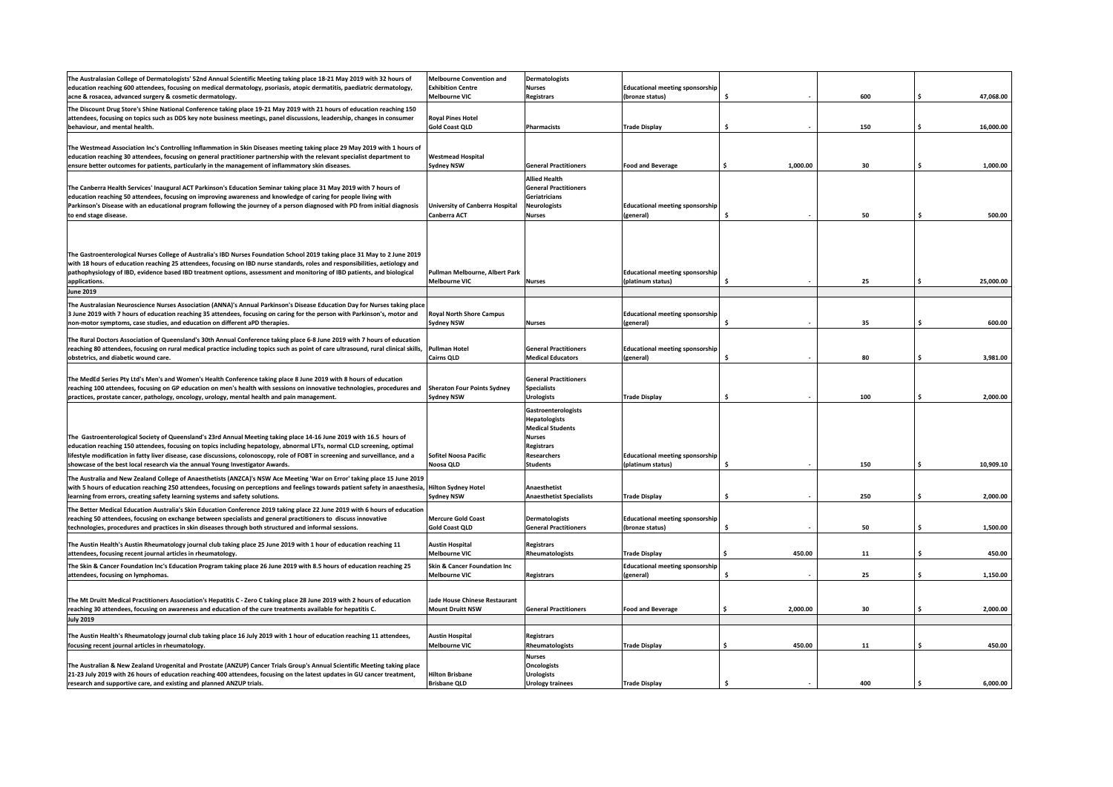| The Australasian College of Dermatologists' 52nd Annual Scientific Meeting taking place 18-21 May 2019 with 32 hours of                           | <b>Melbourne Convention and</b>        | Dermatologists                  |                                        |          |     |                 |
|---------------------------------------------------------------------------------------------------------------------------------------------------|----------------------------------------|---------------------------------|----------------------------------------|----------|-----|-----------------|
| education reaching 600 attendees, focusing on medical dermatology, psoriasis, atopic dermatitis, paediatric dermatology,                          | <b>Exhibition Centre</b>               | <b>Nurses</b>                   | <b>Educational meeting sponsorship</b> |          |     |                 |
|                                                                                                                                                   |                                        |                                 |                                        | Ŝ        | 600 |                 |
| acne & rosacea, advanced surgery & cosmetic dermatology.                                                                                          | <b>Melbourne VIC</b>                   | <b>Registrars</b>               | (bronze status)                        |          |     | 47,068.00       |
| The Discount Drug Store's Shine National Conference taking place 19-21 May 2019 with 21 hours of education reaching 150                           |                                        |                                 |                                        |          |     |                 |
| attendees, focusing on topics such as DDS key note business meetings, panel discussions, leadership, changes in consumer                          | <b>Royal Pines Hotel</b>               |                                 |                                        |          |     |                 |
| behaviour, and mental health.                                                                                                                     | <b>Gold Coast QLD</b>                  | Pharmacists                     | <b>Trade Display</b>                   | Ś        | 150 | 16,000.00<br>\$ |
|                                                                                                                                                   |                                        |                                 |                                        |          |     |                 |
|                                                                                                                                                   |                                        |                                 |                                        |          |     |                 |
| The Westmead Association Inc's Controlling Inflammation in Skin Diseases meeting taking place 29 May 2019 with 1 hours of                         |                                        |                                 |                                        |          |     |                 |
| education reaching 30 attendees, focusing on general practitioner partnership with the relevant specialist department to                          | <b>Westmead Hospital</b>               |                                 |                                        |          |     |                 |
| ensure better outcomes for patients, particularly in the management of inflammatory skin diseases.                                                | <b>Sydney NSW</b>                      | <b>General Practitioners</b>    | <b>Food and Beverage</b>               | 1,000.00 | 30  | 1.000.00        |
|                                                                                                                                                   |                                        |                                 |                                        |          |     |                 |
|                                                                                                                                                   |                                        | <b>Allied Health</b>            |                                        |          |     |                 |
| The Canberra Health Services' Inaugural ACT Parkinson's Education Seminar taking place 31 May 2019 with 7 hours of                                |                                        | <b>General Practitioners</b>    |                                        |          |     |                 |
| education reaching 50 attendees, focusing on improving awareness and knowledge of caring for people living with                                   |                                        | Geriatricians                   |                                        |          |     |                 |
| Parkinson's Disease with an educational program following the journey of a person diagnosed with PD from initial diagnosis                        | <b>University of Canberra Hospital</b> | <b>Neurologists</b>             | <b>Educational meeting sponsorship</b> |          |     |                 |
|                                                                                                                                                   |                                        |                                 |                                        |          |     |                 |
| to end stage disease.                                                                                                                             | Canberra ACT                           | <b>Nurses</b>                   | (general)                              | Ś        | 50  | Ś<br>500.00     |
|                                                                                                                                                   |                                        |                                 |                                        |          |     |                 |
|                                                                                                                                                   |                                        |                                 |                                        |          |     |                 |
|                                                                                                                                                   |                                        |                                 |                                        |          |     |                 |
|                                                                                                                                                   |                                        |                                 |                                        |          |     |                 |
| The Gastroenterological Nurses College of Australia's IBD Nurses Foundation School 2019 taking place 31 May to 2 June 2019                        |                                        |                                 |                                        |          |     |                 |
| with 18 hours of education reaching 25 attendees, focusing on IBD nurse standards, roles and responsibilities, aetiology and                      |                                        |                                 |                                        |          |     |                 |
| pathophysiology of IBD, evidence based IBD treatment options, assessment and monitoring of IBD patients, and biological                           | Pullman Melbourne, Albert Park         |                                 | <b>Educational meeting sponsorship</b> |          |     |                 |
| applications.                                                                                                                                     | <b>Melbourne VIC</b>                   | <b>Nurses</b>                   | (platinum status)                      |          | 25  | 25,000.00       |
| <b>June 2019</b>                                                                                                                                  |                                        |                                 |                                        |          |     |                 |
|                                                                                                                                                   |                                        |                                 |                                        |          |     |                 |
| The Australasian Neuroscience Nurses Association (ANNA)'s Annual Parkinson's Disease Education Day for Nurses taking place                        |                                        |                                 |                                        |          |     |                 |
| 3 June 2019 with 7 hours of education reaching 35 attendees, focusing on caring for the person with Parkinson's, motor and                        | <b>Royal North Shore Campus</b>        |                                 | <b>Educational meeting sponsorship</b> |          |     |                 |
|                                                                                                                                                   |                                        |                                 |                                        |          |     |                 |
| non-motor symptoms, case studies, and education on different aPD therapies.                                                                       | <b>Sydney NSW</b>                      | <b>Nurses</b>                   | (general)                              | Ŝ        | 35  | 600.00<br>\$    |
|                                                                                                                                                   |                                        |                                 |                                        |          |     |                 |
| The Rural Doctors Association of Queensland's 30th Annual Conference taking place 6-8 June 2019 with 7 hours of education                         |                                        |                                 |                                        |          |     |                 |
| reaching 80 attendees, focusing on rural medical practice including topics such as point of care ultrasound, rural clinical skills,               | <b>Pullman Hotel</b>                   | <b>General Practitioners</b>    | <b>Educational meeting sponsorship</b> |          |     |                 |
| obstetrics, and diabetic wound care.                                                                                                              | Cairns QLD                             | <b>Medical Educators</b>        | (general)                              |          | 80  | 3,981.00        |
|                                                                                                                                                   |                                        |                                 |                                        |          |     |                 |
|                                                                                                                                                   |                                        |                                 |                                        |          |     |                 |
| The MedEd Series Pty Ltd's Men's and Women's Health Conference taking place 8 June 2019 with 8 hours of education                                 |                                        | <b>General Practitioners</b>    |                                        |          |     |                 |
| reaching 100 attendees, focusing on GP education on men's health with sessions on innovative technologies, procedures and                         | <b>Sheraton Four Points Sydney</b>     | <b>Specialists</b>              |                                        |          |     |                 |
| practices, prostate cancer, pathology, oncology, urology, mental health and pain management.                                                      | Sydney NSW                             | <b>Urologists</b>               | <b>Trade Display</b>                   | Ś        | 100 | 2,000.00        |
|                                                                                                                                                   |                                        |                                 |                                        |          |     |                 |
|                                                                                                                                                   |                                        | Gastroenterologists             |                                        |          |     |                 |
|                                                                                                                                                   |                                        | <b>Hepatologists</b>            |                                        |          |     |                 |
|                                                                                                                                                   |                                        | <b>Medical Students</b>         |                                        |          |     |                 |
| The Gastroenterological Society of Queensland's 23rd Annual Meeting taking place 14-16 June 2019 with 16.5 hours of                               |                                        | <b>Nurses</b>                   |                                        |          |     |                 |
| education reaching 150 attendees, focusing on topics including hepatology, abnormal LFTs, normal CLD screening, optimal                           |                                        | <b>Registrars</b>               |                                        |          |     |                 |
| lifestyle modification in fatty liver disease, case discussions, colonoscopy, role of FOBT in screening and surveillance, and a                   | <b>Sofitel Noosa Pacific</b>           | <b>Researchers</b>              | <b>Educational meeting sponsorship</b> |          |     |                 |
|                                                                                                                                                   |                                        |                                 |                                        |          |     |                 |
| showcase of the best local research via the annual Young Investigator Awards.                                                                     | Noosa QLD                              | <b>Students</b>                 | (platinum status)                      |          | 150 | 10,909.10       |
| The Australia and New Zealand College of Anaesthetists (ANZCA)'s NSW Ace Meeting 'War on Error' taking place 15 June 2019                         |                                        |                                 |                                        |          |     |                 |
|                                                                                                                                                   |                                        |                                 |                                        |          |     |                 |
| with 5 hours of education reaching 250 attendees, focusing on perceptions and feelings towards patient safety in anaesthesia, Hilton Sydney Hotel |                                        | Anaesthetist                    |                                        |          |     |                 |
| learning from errors, creating safety learning systems and safety solutions.                                                                      | <b>Sydney NSW</b>                      | <b>Anaesthetist Specialists</b> | <b>Trade Display</b>                   | ÷,       | 250 | 2,000.00        |
| The Better Medical Education Australia's Skin Education Conference 2019 taking place 22 June 2019 with 6 hours of education                       |                                        |                                 |                                        |          |     |                 |
| eaching 50 attendees, focusing on exchange between specialists and general practitioners to discuss innovative                                    | <b>Mercure Gold Coast</b>              | <b>Dermatologists</b>           | <b>Educational meeting sponsorship</b> |          |     |                 |
|                                                                                                                                                   |                                        |                                 |                                        |          |     |                 |
| technologies, procedures and practices in skin diseases through both structured and informal sessions.                                            | <b>Gold Coast QLD</b>                  | <b>General Practitioners</b>    | (bronze status)                        | Ŝ.       | 50  | 1,500.00        |
|                                                                                                                                                   |                                        |                                 |                                        |          |     |                 |
| The Austin Health's Austin Rheumatology journal club taking place 25 June 2019 with 1 hour of education reaching 11                               | <b>Austin Hospital</b>                 | <b>Registrars</b>               |                                        |          |     |                 |
| attendees, focusing recent journal articles in rheumatology.                                                                                      | <b>Melbourne VIC</b>                   | Rheumatologists                 | <b>Trade Display</b>                   | 450.00   | 11  | 450.00          |
| The Skin & Cancer Foundation Inc's Education Program taking place 26 June 2019 with 8.5 hours of education reaching 25                            | Skin & Cancer Foundation Inc           |                                 | <b>Educational meeting sponsorship</b> |          |     |                 |
|                                                                                                                                                   |                                        |                                 |                                        |          |     |                 |
| attendees, focusing on lymphomas.                                                                                                                 | <b>Melbourne VIC</b>                   | <b>Registrars</b>               | (general)                              | \$       | 25  | 1,150.00        |
|                                                                                                                                                   |                                        |                                 |                                        |          |     |                 |
|                                                                                                                                                   |                                        |                                 |                                        |          |     |                 |
| The Mt Druitt Medical Practitioners Association's Hepatitis C - Zero C taking place 28 June 2019 with 2 hours of education                        | Jade House Chinese Restaurant          |                                 |                                        |          |     |                 |
| reaching 30 attendees, focusing on awareness and education of the cure treatments available for hepatitis C.                                      | <b>Mount Druitt NSW</b>                | <b>General Practitioners</b>    | <b>Food and Beverage</b>               | 2,000.00 | 30  | 2,000.00        |
| <b>July 2019</b>                                                                                                                                  |                                        |                                 |                                        |          |     |                 |
|                                                                                                                                                   |                                        |                                 |                                        |          |     |                 |
| The Austin Health's Rheumatology journal club taking place 16 July 2019 with 1 hour of education reaching 11 attendees,                           | <b>Austin Hospital</b>                 | <b>Registrars</b>               |                                        |          |     |                 |
|                                                                                                                                                   |                                        |                                 |                                        |          |     |                 |
| focusing recent journal articles in rheumatology.                                                                                                 | <b>Melbourne VIC</b>                   | Rheumatologists                 | <b>Trade Display</b>                   | 450.00   | 11  | 450.00<br>Ŝ     |
|                                                                                                                                                   |                                        | <b>Nurses</b>                   |                                        |          |     |                 |
| The Australian & New Zealand Urogenital and Prostate (ANZUP) Cancer Trials Group's Annual Scientific Meeting taking place                         |                                        | <b>Oncologists</b>              |                                        |          |     |                 |
| 21-23 July 2019 with 26 hours of education reaching 400 attendees, focusing on the latest updates in GU cancer treatment,                         | <b>Hilton Brisbane</b>                 | <b>Urologists</b>               |                                        |          |     |                 |
|                                                                                                                                                   |                                        |                                 |                                        |          |     |                 |
| research and supportive care, and existing and planned ANZUP trials.                                                                              | <b>Brisbane QLD</b>                    | <b>Urology trainees</b>         | <b>Trade Display</b>                   | Ś        | 400 | 6,000.00<br>Ŝ   |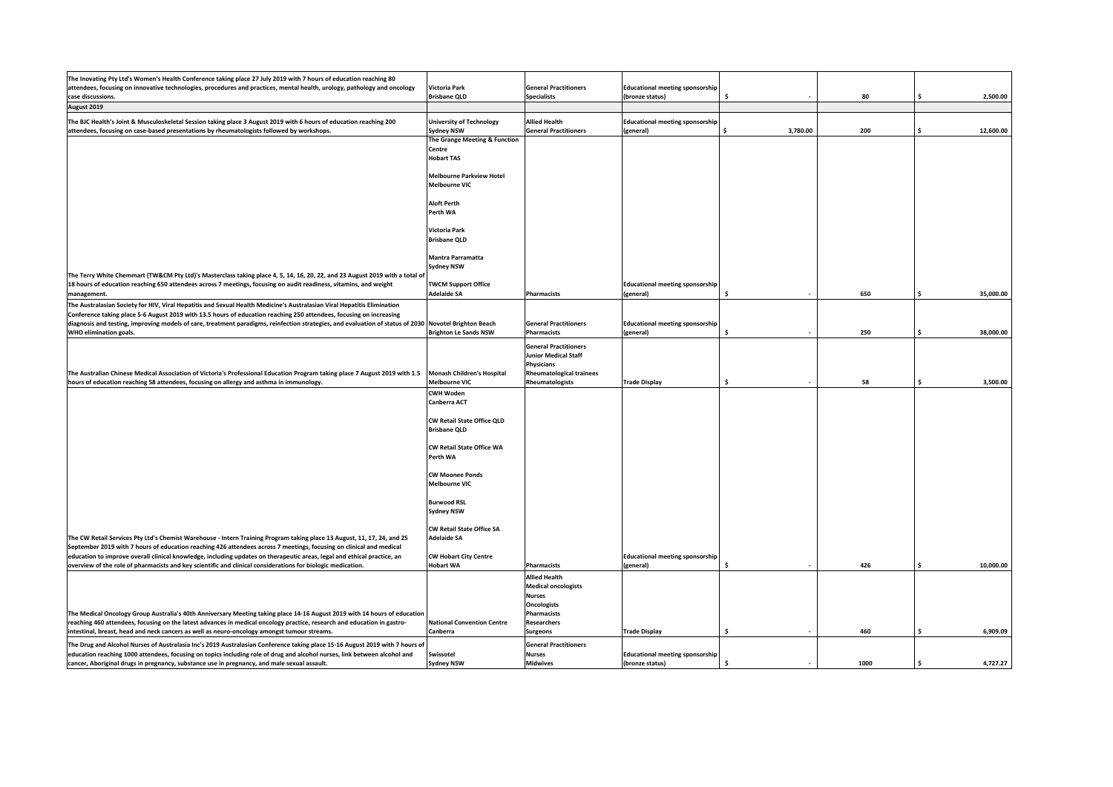| The Inovating Pty Ltd's Women's Health Conference taking place 27 July 2019 with 7 hours of education reaching 80                                     |                                   |                                 |                                        |          |      |                 |
|-------------------------------------------------------------------------------------------------------------------------------------------------------|-----------------------------------|---------------------------------|----------------------------------------|----------|------|-----------------|
| attendees, focusing on innovative technologies, procedures and practices, mental health, urology, pathology and oncology                              | Victoria Park                     | <b>General Practitioners</b>    | <b>Educational meeting sponsorship</b> |          |      |                 |
| case discussions.                                                                                                                                     | <b>Brisbane QLD</b>               | <b>Specialists</b>              | (bronze status)                        |          | 80   | 2,500.00        |
| August 2019                                                                                                                                           |                                   |                                 |                                        |          |      |                 |
|                                                                                                                                                       |                                   |                                 |                                        |          |      |                 |
| The BJC Health's Joint & Musculoskeletal Session taking place 3 August 2019 with 6 hours of education reaching 200                                    | <b>University of Technology</b>   | <b>Allied Health</b>            | <b>Educational meeting sponsorship</b> |          |      |                 |
| attendees, focusing on case-based presentations by rheumatologists followed by workshops.                                                             | <b>Sydney NSW</b>                 | <b>General Practitioners</b>    | (general)                              | 3,780.00 | 200  | 12,600.00       |
|                                                                                                                                                       | The Grange Meeting & Function     |                                 |                                        |          |      |                 |
|                                                                                                                                                       | Centre                            |                                 |                                        |          |      |                 |
|                                                                                                                                                       | <b>Hobart TAS</b>                 |                                 |                                        |          |      |                 |
|                                                                                                                                                       |                                   |                                 |                                        |          |      |                 |
|                                                                                                                                                       | <b>Melbourne Parkview Hotel</b>   |                                 |                                        |          |      |                 |
|                                                                                                                                                       | <b>Melbourne VIC</b>              |                                 |                                        |          |      |                 |
|                                                                                                                                                       |                                   |                                 |                                        |          |      |                 |
|                                                                                                                                                       | <b>Aloft Perth</b>                |                                 |                                        |          |      |                 |
|                                                                                                                                                       | Perth WA                          |                                 |                                        |          |      |                 |
|                                                                                                                                                       |                                   |                                 |                                        |          |      |                 |
|                                                                                                                                                       |                                   |                                 |                                        |          |      |                 |
|                                                                                                                                                       | Victoria Park                     |                                 |                                        |          |      |                 |
|                                                                                                                                                       | <b>Brisbane QLD</b>               |                                 |                                        |          |      |                 |
|                                                                                                                                                       |                                   |                                 |                                        |          |      |                 |
|                                                                                                                                                       | Mantra Parramatta                 |                                 |                                        |          |      |                 |
|                                                                                                                                                       | <b>Sydney NSW</b>                 |                                 |                                        |          |      |                 |
| The Terry White Chemmart (TW&CM Pty Ltd)'s Masterclass taking place 4, 5, 14, 16, 20, 22, and 23 August 2019 with a total of                          |                                   |                                 |                                        |          |      |                 |
| 18 hours of education reaching 650 attendees across 7 meetings, focusing on audit readiness, vitamins, and weight                                     | <b>TWCM Support Office</b>        |                                 | <b>Educational meeting sponsorship</b> |          |      |                 |
| management.                                                                                                                                           | <b>Adelaide SA</b>                | <b>Pharmacists</b>              | (general)                              |          | 650  | 35,000.00       |
|                                                                                                                                                       |                                   |                                 |                                        |          |      |                 |
| The Australasian Society for HIV, Viral Hepatitis and Sexual Health Medicine's Australasian Viral Hepatitis Elimination                               |                                   |                                 |                                        |          |      |                 |
| Conference taking place 5-6 August 2019 with 13.5 hours of education reaching 250 attendees, focusing on increasing                                   |                                   |                                 |                                        |          |      |                 |
| diagnosis and testing, improving models of care, treatment paradigms, reinfection strategies, and evaluation of status of 2030 Novotel Brighton Beach |                                   | <b>General Practitioners</b>    | <b>Educational meeting sponsorship</b> |          |      |                 |
| <b>WHO elimination goals.</b>                                                                                                                         | <b>Brighton Le Sands NSW</b>      | <b>Pharmacists</b>              | (general)                              | Ŝ        | 250  | \$<br>38,000.00 |
|                                                                                                                                                       |                                   | <b>General Practitioners</b>    |                                        |          |      |                 |
|                                                                                                                                                       |                                   | <b>Junior Medical Staff</b>     |                                        |          |      |                 |
|                                                                                                                                                       |                                   |                                 |                                        |          |      |                 |
|                                                                                                                                                       |                                   | Physicians                      |                                        |          |      |                 |
| The Australian Chinese Medical Association of Victoria's Professional Education Program taking place 7 August 2019 with 1.5                           | <b>Monash Children's Hospital</b> | <b>Rheumatological trainees</b> |                                        |          |      |                 |
| hours of education reaching 58 attendees, focusing on allergy and asthma in immunology.                                                               | <b>Melbourne VIC</b>              | Rheumatologists                 | <b>Trade Display</b>                   | Ŝ.       | 58   | 3,500.00<br>Ś.  |
|                                                                                                                                                       | <b>CWH Woden</b>                  |                                 |                                        |          |      |                 |
|                                                                                                                                                       | Canberra ACT                      |                                 |                                        |          |      |                 |
|                                                                                                                                                       |                                   |                                 |                                        |          |      |                 |
|                                                                                                                                                       | CW Retail State Office QLD        |                                 |                                        |          |      |                 |
|                                                                                                                                                       | <b>Brisbane QLD</b>               |                                 |                                        |          |      |                 |
|                                                                                                                                                       |                                   |                                 |                                        |          |      |                 |
|                                                                                                                                                       | CW Retail State Office WA         |                                 |                                        |          |      |                 |
|                                                                                                                                                       | Perth WA                          |                                 |                                        |          |      |                 |
|                                                                                                                                                       |                                   |                                 |                                        |          |      |                 |
|                                                                                                                                                       |                                   |                                 |                                        |          |      |                 |
|                                                                                                                                                       | <b>CW Moonee Ponds</b>            |                                 |                                        |          |      |                 |
|                                                                                                                                                       | Melbourne VIC                     |                                 |                                        |          |      |                 |
|                                                                                                                                                       |                                   |                                 |                                        |          |      |                 |
|                                                                                                                                                       | <b>Burwood RSL</b>                |                                 |                                        |          |      |                 |
|                                                                                                                                                       | <b>Sydney NSW</b>                 |                                 |                                        |          |      |                 |
|                                                                                                                                                       |                                   |                                 |                                        |          |      |                 |
|                                                                                                                                                       | CW Retail State Office SA         |                                 |                                        |          |      |                 |
| The CW Retail Services Pty Ltd's Chemist Warehouse - Intern Training Program taking place 13 August, 11, 17, 24, and 25                               | <b>Adelaide SA</b>                |                                 |                                        |          |      |                 |
| September 2019 with 7 hours of education reaching 426 attendees across 7 meetings, focusing on clinical and medical                                   |                                   |                                 |                                        |          |      |                 |
| education to improve overall clinical knowledge, including updates on therapeutic areas, legal and ethical practice, an                               | <b>CW Hobart City Centre</b>      |                                 | <b>Educational meeting sponsorship</b> |          |      |                 |
| overview of the role of pharmacists and key scientific and clinical considerations for biologic medication.                                           | <b>Hobart WA</b>                  | Pharmacists                     | (general)                              | Ŝ        | 426  | 10,000.00       |
|                                                                                                                                                       |                                   |                                 |                                        |          |      |                 |
|                                                                                                                                                       |                                   | <b>Allied Health</b>            |                                        |          |      |                 |
|                                                                                                                                                       |                                   | <b>Medical oncologists</b>      |                                        |          |      |                 |
|                                                                                                                                                       |                                   | <b>Nurses</b>                   |                                        |          |      |                 |
|                                                                                                                                                       |                                   | <b>Oncologists</b>              |                                        |          |      |                 |
| The Medical Oncology Group Australia's 40th Anniversary Meeting taking place 14-16 August 2019 with 14 hours of education                             |                                   | <b>Pharmacists</b>              |                                        |          |      |                 |
| reaching 460 attendees, focusing on the latest advances in medical oncology practice, research and education in gastro-                               | <b>National Convention Centre</b> | <b>Researchers</b>              |                                        |          |      |                 |
| intestinal, breast, head and neck cancers as well as neuro-oncology amongst tumour streams.                                                           | Canberra                          | <b>Surgeons</b>                 | <b>Trade Display</b>                   | Ś        | 460  | Ś.<br>6,909.09  |
| The Drug and Alcohol Nurses of Australasia Inc's 2019 Australasian Conference taking place 15-16 August 2019 with 7 hours of                          |                                   | <b>General Practitioners</b>    |                                        |          |      |                 |
|                                                                                                                                                       |                                   |                                 |                                        |          |      |                 |
| education reaching 1000 attendees, focusing on topics including role of drug and alcohol nurses, link between alcohol and                             | Swissotel                         | <b>Nurses</b>                   | <b>Educational meeting sponsorship</b> |          |      |                 |
| cancer, Aboriginal drugs in pregnancy, substance use in pregnancy, and male sexual assault.                                                           | <b>Sydney NSW</b>                 | <b>Midwives</b>                 | (bronze status)                        | Ŝ.       | 1000 | 4,727.27<br>Ś.  |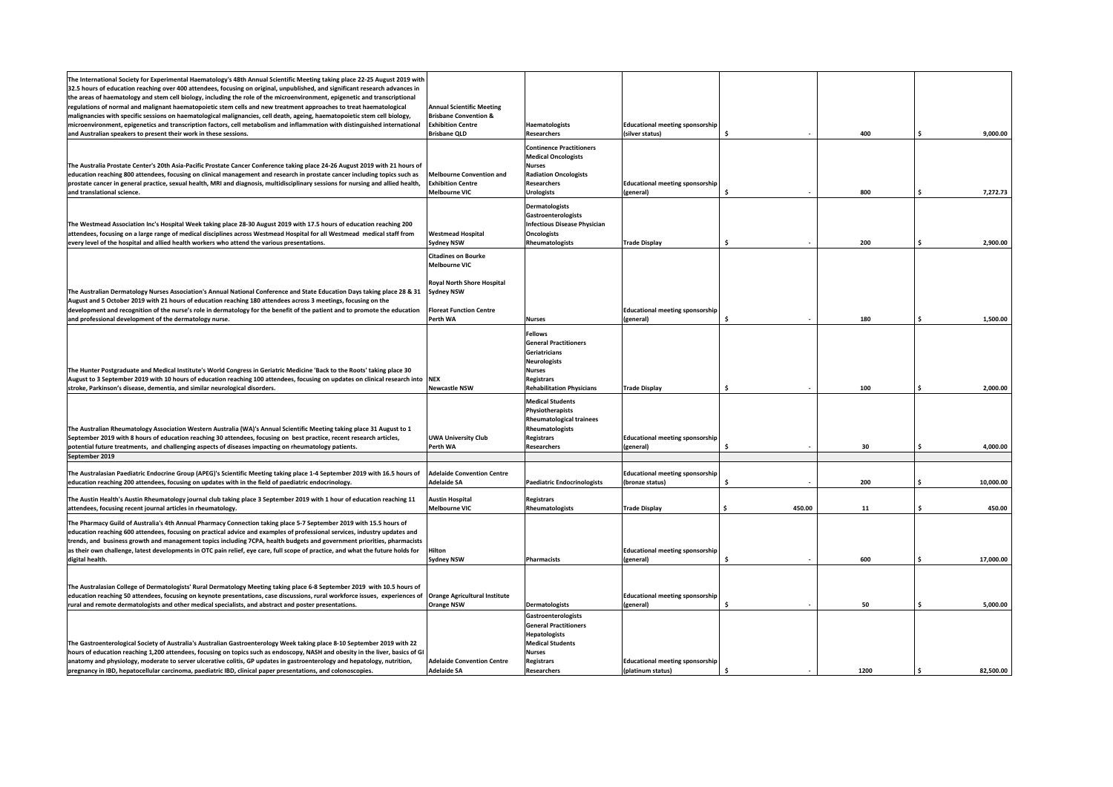| The International Society for Experimental Haematology's 48th Annual Scientific Meeting taking place 22-25 August 2019 with<br>32.5 hours of education reaching over 400 attendees, focusing on original, unpublished, and significant research advances in<br>the areas of haematology and stem cell biology, including the role of the microenvironment, epigenetic and transcriptional<br>regulations of normal and malignant haematopoietic stem cells and new treatment approaches to treat haematological<br>malignancies with specific sessions on haematological malignancies, cell death, ageing, haematopoietic stem cell biology,<br>microenvironment, epigenetics and transcription factors, cell metabolism and inflammation with distinguished international<br>and Australian speakers to present their work in these sessions. | <b>Annual Scientific Meeting</b><br><b>Brisbane Convention &amp;</b><br><b>Exhibition Centre</b><br><b>Brisbane QLD</b> | Haematologists<br><b>Researchers</b>                                                                                                                                      | <b>Educational meeting sponsorship</b><br>(silver status)   |                    | 400  | 9,000.00       |
|------------------------------------------------------------------------------------------------------------------------------------------------------------------------------------------------------------------------------------------------------------------------------------------------------------------------------------------------------------------------------------------------------------------------------------------------------------------------------------------------------------------------------------------------------------------------------------------------------------------------------------------------------------------------------------------------------------------------------------------------------------------------------------------------------------------------------------------------|-------------------------------------------------------------------------------------------------------------------------|---------------------------------------------------------------------------------------------------------------------------------------------------------------------------|-------------------------------------------------------------|--------------------|------|----------------|
| The Australia Prostate Center's 20th Asia-Pacific Prostate Cancer Conference taking place 24-26 August 2019 with 21 hours of<br>education reaching 800 attendees, focusing on clinical management and research in prostate cancer including topics such as<br>prostate cancer in general practice, sexual health, MRI and diagnosis, multidisciplinary sessions for nursing and allied health,<br>and translational science.                                                                                                                                                                                                                                                                                                                                                                                                                   | <b>Melbourne Convention and</b><br><b>Exhibition Centre</b><br><b>Melbourne VIC</b>                                     | <b>Continence Practitioners</b><br><b>Medical Oncologists</b><br><b>Nurses</b><br><b>Radiation Oncologists</b><br><b>Researchers</b><br><b>Urologists</b>                 | <b>Educational meeting sponsorship</b><br>(general)         | Ŝ.                 | 800  | 7,272.73<br>Ś  |
| The Westmead Association Inc's Hospital Week taking place 28-30 August 2019 with 17.5 hours of education reaching 200<br>attendees, focusing on a large range of medical disciplines across Westmead Hospital for all Westmead medical staff from<br>every level of the hospital and allied health workers who attend the various presentations.                                                                                                                                                                                                                                                                                                                                                                                                                                                                                               | <b>Westmead Hospital</b><br><b>Sydney NSW</b>                                                                           | <b>Dermatologists</b><br><b>Gastroenterologists</b><br><b>Infectious Disease Physician</b><br><b>Oncologists</b><br>Rheumatologists                                       | <b>Trade Display</b>                                        | Ś                  | 200  | 2,900.00       |
|                                                                                                                                                                                                                                                                                                                                                                                                                                                                                                                                                                                                                                                                                                                                                                                                                                                | <b>Citadines on Bourke</b><br><b>Melbourne VIC</b>                                                                      |                                                                                                                                                                           |                                                             |                    |      |                |
| The Australian Dermatology Nurses Association's Annual National Conference and State Education Days taking place 28 & 31<br>August and 5 October 2019 with 21 hours of education reaching 180 attendees across 3 meetings, focusing on the<br>development and recognition of the nurse's role in dermatology for the benefit of the patient and to promote the education<br>and professional development of the dermatology nurse.                                                                                                                                                                                                                                                                                                                                                                                                             | Royal North Shore Hospital<br><b>Sydney NSW</b><br><b>Floreat Function Centre</b><br>Perth WA                           | <b>Nurses</b>                                                                                                                                                             | <b>Educational meeting sponsorship</b><br>(general)         | ¢                  | 180  | 1.500.00<br>¢  |
| The Hunter Postgraduate and Medical Institute's World Congress in Geriatric Medicine 'Back to the Roots' taking place 30<br>August to 3 September 2019 with 10 hours of education reaching 100 attendees, focusing on updates on clinical research into<br>stroke, Parkinson's disease, dementia, and similar neurological disorders.                                                                                                                                                                                                                                                                                                                                                                                                                                                                                                          | <b>NEX</b><br><b>Newcastle NSW</b>                                                                                      | <b>Fellows</b><br><b>General Practitioners</b><br>Geriatricians<br><b>Neurologists</b><br><b>Nurses</b><br><b>Registrars</b><br><b>Rehabilitation Physicians</b>          | <b>Trade Display</b>                                        | \$                 | 100  | 2,000.00       |
| The Australian Rheumatology Association Western Australia (WA)'s Annual Scientific Meeting taking place 31 August to 1<br>September 2019 with 8 hours of education reaching 30 attendees, focusing on best practice, recent research articles,<br>potential future treatments, and challenging aspects of diseases impacting on rheumatology patients.                                                                                                                                                                                                                                                                                                                                                                                                                                                                                         | <b>UWA University Club</b><br>Perth WA                                                                                  | <b>Medical Students</b><br>Physiotherapists<br><b>Rheumatological trainees</b><br>Rheumatologists<br><b>Registrars</b><br><b>Researchers</b>                              | <b>Educational meeting sponsorship</b><br>(general)         |                    | 30   | 4,000.00       |
| September 2019                                                                                                                                                                                                                                                                                                                                                                                                                                                                                                                                                                                                                                                                                                                                                                                                                                 |                                                                                                                         |                                                                                                                                                                           |                                                             |                    |      |                |
| The Australasian Paediatric Endocrine Group (APEG)'s Scientific Meeting taking place 1-4 September 2019 with 16.5 hours of<br>education reaching 200 attendees, focusing on updates with in the field of paediatric endocrinology.                                                                                                                                                                                                                                                                                                                                                                                                                                                                                                                                                                                                             | <b>Adelaide Convention Centre</b><br>Adelaide SA                                                                        | <b>Paediatric Endocrinologists</b>                                                                                                                                        | <b>Educational meeting sponsorship</b><br>(bronze status)   | Ŝ                  | 200  | 10,000.00      |
| The Austin Health's Austin Rheumatology journal club taking place 3 September 2019 with 1 hour of education reaching 11<br>attendees, focusing recent journal articles in rheumatology.                                                                                                                                                                                                                                                                                                                                                                                                                                                                                                                                                                                                                                                        | <b>Austin Hospital</b><br><b>Melbourne VIC</b>                                                                          | <b>Registrars</b><br>Rheumatologists                                                                                                                                      | <b>Trade Display</b>                                        | 450.00             | 11   | 450.00<br>Ŝ.   |
| The Pharmacy Guild of Australia's 4th Annual Pharmacy Connection taking place 5-7 September 2019 with 15.5 hours of<br>education reaching 600 attendees, focusing on practical advice and examples of professional services, industry updates and<br>trends, and business growth and management topics including 7CPA, health budgets and government priorities, pharmacists<br>as their own challenge, latest developments in OTC pain relief, eye care, full scope of practice, and what the future holds for<br>digital health.                                                                                                                                                                                                                                                                                                             | Hilton<br><b>Sydney NSW</b>                                                                                             | <b>Pharmacists</b>                                                                                                                                                        | <b>Educational meeting sponsorship</b><br>(general)         | Ŝ                  | 600  | Ś<br>17,000.00 |
| The Australasian College of Dermatologists' Rural Dermatology Meeting taking place 6-8 September 2019 with 10.5 hours of<br>education reaching 50 attendees, focusing on keynote presentations, case discussions, rural workforce issues, experiences of<br>rural and remote dermatologists and other medical specialists, and abstract and poster presentations.                                                                                                                                                                                                                                                                                                                                                                                                                                                                              | <b>Orange Agricultural Institute</b><br><b>Orange NSW</b>                                                               | Dermatologists                                                                                                                                                            | <b>Educational meeting sponsorship</b><br>(general)         | Ŝ.                 | 50   | 5,000.00<br>Ŝ  |
| The Gastroenterological Society of Australia's Australian Gastroenterology Week taking place 8-10 September 2019 with 22<br>hours of education reaching 1,200 attendees, focusing on topics such as endoscopy, NASH and obesity in the liver, basics of GI<br>anatomy and physiology, moderate to server ulcerative colitis, GP updates in gastroenterology and hepatology, nutrition,<br>pregnancy in IBD, hepatocellular carcinoma, paediatric IBD, clinical paper presentations, and colonoscopies.                                                                                                                                                                                                                                                                                                                                         | <b>Adelaide Convention Centre</b><br><b>Adelaide SA</b>                                                                 | <b>Gastroenterologists</b><br><b>General Practitioners</b><br><b>Hepatologists</b><br><b>Medical Students</b><br><b>Nurses</b><br><b>Registrars</b><br><b>Researchers</b> | <b>Educational meeting sponsorship</b><br>(platinum status) | $\hat{\mathbf{z}}$ | 1200 | 82.500.00      |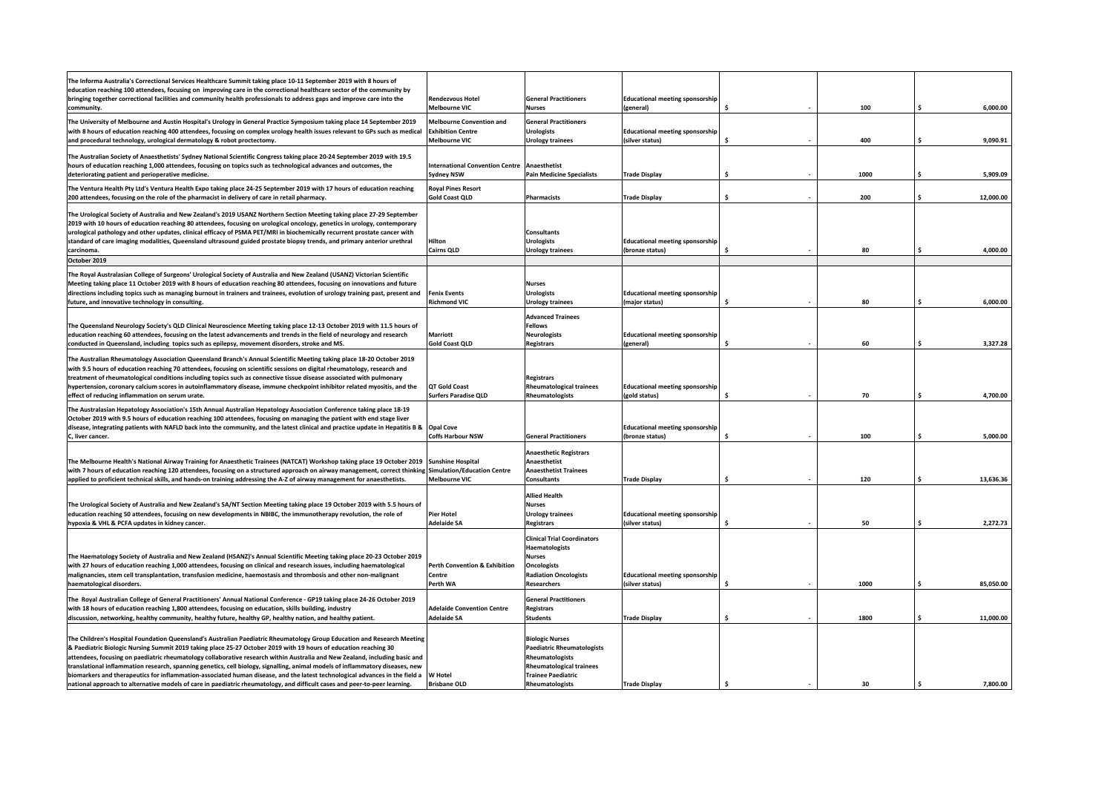| The Informa Australia's Correctional Services Healthcare Summit taking place 10-11 September 2019 with 8 hours of<br>education reaching 100 attendees, focusing on improving care in the correctional healthcare sector of the community by<br>bringing together correctional facilities and community health professionals to address gaps and improve care into the<br>community.                                                                                                                                                                                                                                                                                                                                                                                      | Rendezvous Hotel<br><b>Melbourne VIC</b>                                               | <b>General Practitioners</b><br><b>Nurses</b>                                                                                                              | <b>Educational meeting sponsorship</b><br>(general)       |     | 100  | 6,000.00        |
|--------------------------------------------------------------------------------------------------------------------------------------------------------------------------------------------------------------------------------------------------------------------------------------------------------------------------------------------------------------------------------------------------------------------------------------------------------------------------------------------------------------------------------------------------------------------------------------------------------------------------------------------------------------------------------------------------------------------------------------------------------------------------|----------------------------------------------------------------------------------------|------------------------------------------------------------------------------------------------------------------------------------------------------------|-----------------------------------------------------------|-----|------|-----------------|
| The University of Melbourne and Austin Hospital's Urology in General Practice Symposium taking place 14 September 2019<br>with 8 hours of education reaching 400 attendees, focusing on complex urology health issues relevant to GPs such as medical<br>and procedural technology, urological dermatology & robot proctectomy.                                                                                                                                                                                                                                                                                                                                                                                                                                          | <b>Melbourne Convention and</b><br><b>Exhibition Centre</b><br><b>Melbourne VIC</b>    | <b>General Practitioners</b><br><b>Urologists</b><br>Urology trainees                                                                                      | <b>Educational meeting sponsorship</b><br>(silver status) | Ŝ   | 400  | Ś.<br>9,090.91  |
| The Australian Society of Anaesthetists' Sydney National Scientific Congress taking place 20-24 September 2019 with 19.5<br>hours of education reaching 1,000 attendees, focusing on topics such as technological advances and outcomes, the<br>deteriorating patient and perioperative medicine.                                                                                                                                                                                                                                                                                                                                                                                                                                                                        | <b>International Convention Centre</b><br><b>Sydney NSW</b>                            | Anaesthetist<br><b>Pain Medicine Specialists</b>                                                                                                           | <b>Trade Display</b>                                      | Ś   | 1000 | 5,909.09        |
| The Ventura Health Pty Ltd's Ventura Health Expo taking place 24-25 September 2019 with 17 hours of education reaching<br>200 attendees, focusing on the role of the pharmacist in delivery of care in retail pharmacy.                                                                                                                                                                                                                                                                                                                                                                                                                                                                                                                                                  | <b>Roval Pines Resort</b><br><b>Gold Coast QLD</b>                                     | <b>Pharmacists</b>                                                                                                                                         | <b>Trade Display</b>                                      | Ś   | 200  | Ś<br>12,000.00  |
| The Urological Society of Australia and New Zealand's 2019 USANZ Northern Section Meeting taking place 27-29 September<br>2019 with 10 hours of education reaching 80 attendees, focusing on urological oncology, genetics in urology, contemporary<br>urological pathology and other updates, clinical efficacy of PSMA PET/MRI in biochemically recurrent prostate cancer with<br>standard of care imaging modalities, Queensland ultrasound guided prostate biopsy trends, and primary anterior urethral<br>carcinoma.                                                                                                                                                                                                                                                | Hilton<br><b>Cairns QLD</b>                                                            | <b>Consultants</b><br><b>Urologists</b><br><b>Urology trainees</b>                                                                                         | <b>Educational meeting sponsorship</b><br>(bronze status) | Ŝ.  | 80   | 4,000.00        |
| October 2019                                                                                                                                                                                                                                                                                                                                                                                                                                                                                                                                                                                                                                                                                                                                                             |                                                                                        |                                                                                                                                                            |                                                           |     |      |                 |
| The Royal Australasian College of Surgeons' Urological Society of Australia and New Zealand (USANZ) Victorian Scientific<br>Meeting taking place 11 October 2019 with 8 hours of education reaching 80 attendees, focusing on innovations and future<br>directions including topics such as managing burnout in trainers and trainees, evolution of urology training past, present and<br>future, and innovative technology in consulting.                                                                                                                                                                                                                                                                                                                               | <b>Fenix Events</b><br><b>Richmond VIC</b>                                             | <b>Nurses</b><br><b>Urologists</b><br>Urology trainees                                                                                                     | <b>Educational meeting sponsorship</b><br>(major status)  | Ŝ   | 80   | 6,000.00        |
| The Queensland Neurology Society's QLD Clinical Neuroscience Meeting taking place 12-13 October 2019 with 11.5 hours of<br>education reaching 60 attendees, focusing on the latest advancements and trends in the field of neurology and research<br>conducted in Queensland, including topics such as epilepsy, movement disorders, stroke and MS.                                                                                                                                                                                                                                                                                                                                                                                                                      | <b>Marriott</b><br><b>Gold Coast QLD</b>                                               | <b>Advanced Trainees</b><br><b>Fellows</b><br><b>Neurologists</b><br><b>Registrars</b>                                                                     | <b>Educational meeting sponsorship</b><br>(general)       | Ŝ   | 60   | 3,327.28        |
| The Australian Rheumatology Association Queensland Branch's Annual Scientific Meeting taking place 18-20 October 2019<br>with 9.5 hours of education reaching 70 attendees, focusing on scientific sessions on digital rheumatology, research and<br>treatment of rheumatological conditions including topics such as connective tissue disease associated with pulmonary<br>hypertension, coronary calcium scores in autoinflammatory disease, immune checkpoint inhibitor related myositis, and the<br>effect of reducing inflammation on serum urate.                                                                                                                                                                                                                 | <b>QT Gold Coast</b><br><b>Surfers Paradise QLD</b>                                    | <b>Registrars</b><br><b>Rheumatological trainees</b><br>Rheumatologists                                                                                    | <b>Educational meeting sponsorship</b><br>(gold status)   |     | 70   | 4,700.00        |
| The Australasian Hepatology Association's 15th Annual Australian Hepatology Association Conference taking place 18-19<br>October 2019 with 9.5 hours of education reaching 100 attendees, focusing on managing the patient with end stage liver<br>disease, integrating patients with NAFLD back into the community, and the latest clinical and practice update in Hepatitis B &<br>C, liver cancer.                                                                                                                                                                                                                                                                                                                                                                    | <b>Opal Cove</b><br><b>Coffs Harbour NSW</b>                                           | <b>General Practitioners</b>                                                                                                                               | <b>Educational meeting sponsorship</b><br>(bronze status) | Ŝ   | 100  | 5,000.00<br>Ś   |
| The Melbourne Health's National Airway Training for Anaesthetic Trainees (NATCAT) Workshop taking place 19 October 2019<br>with 7 hours of education reaching 120 attendees, focusing on a structured approach on airway management, correct thinking<br>applied to proficient technical skills, and hands-on training addressing the A-Z of airway management for anaesthetists.                                                                                                                                                                                                                                                                                                                                                                                        | <b>Sunshine Hospital</b><br><b>Simulation/Education Centre</b><br><b>Melbourne VIC</b> | <b>Anaesthetic Registrars</b><br>Anaesthetist<br><b>Anaesthetist Trainees</b><br><b>Consultants</b>                                                        | <b>Trade Display</b>                                      | \$. | 120  | Ś.<br>13,636.36 |
| The Urological Society of Australia and New Zealand's SA/NT Section Meeting taking place 19 October 2019 with 5.5 hours of<br>education reaching 50 attendees, focusing on new developments in NBIBC, the immunotherapy revolution, the role of<br>hypoxia & VHL & PCFA updates in kidney cancer.                                                                                                                                                                                                                                                                                                                                                                                                                                                                        | <b>Pier Hotel</b><br><b>Adelaide SA</b>                                                | <b>Allied Health</b><br><b>Nurses</b><br><b>Urology trainees</b><br><b>Registrars</b>                                                                      | <b>Educational meeting sponsorship</b><br>(silver status) | Ŝ.  | 50   | 2,272.73        |
| The Haematology Society of Australia and New Zealand (HSANZ)'s Annual Scientific Meeting taking place 20-23 October 2019<br>with 27 hours of education reaching 1,000 attendees, focusing on clinical and research issues, including haematological<br>malignancies, stem cell transplantation, transfusion medicine, haemostasis and thrombosis and other non-malignant<br>haematological disorders.                                                                                                                                                                                                                                                                                                                                                                    | Perth Convention & Exhibition<br>Centre<br>Perth WA                                    | <b>Clinical Trial Coordinators</b><br>Haematologists<br>Nurses<br><b>Oncologists</b><br><b>Radiation Oncologists</b><br>Researchers                        | <b>Educational meeting sponsorship</b><br>(silver status) | Ŝ   | 1000 | 85,050.00       |
| The Royal Australian College of General Practitioners' Annual National Conference - GP19 taking place 24-26 October 2019<br>with 18 hours of education reaching 1,800 attendees, focusing on education, skills building, industry<br>discussion, networking, healthy community, healthy future, healthy GP, healthy nation, and healthy patient.                                                                                                                                                                                                                                                                                                                                                                                                                         | <b>Adelaide Convention Centre</b><br><b>Adelaide SA</b>                                | <b>General Practitioners</b><br><b>Registrars</b><br><b>Students</b>                                                                                       | <b>Trade Display</b>                                      | Ś   | 1800 | 11,000.00       |
| The Children's Hospital Foundation Queensland's Australian Paediatric Rheumatology Group Education and Research Meeting<br>& Paediatric Biologic Nursing Summit 2019 taking place 25-27 October 2019 with 19 hours of education reaching 30<br>attendees, focusing on paediatric rheumatology collaborative research within Australia and New Zealand, including basic and<br>translational inflammation research, spanning genetics, cell biology, signalling, animal models of inflammatory diseases, new<br>biomarkers and therapeutics for inflammation-associated human disease, and the latest technological advances in the field a<br>national approach to alternative models of care in paediatric rheumatology, and difficult cases and peer-to-peer learning. | <b>W Hotel</b><br><b>Brisbane OLD</b>                                                  | <b>Biologic Nurses</b><br>Paediatric Rheumatologists<br>Rheumatologists<br><b>Rheumatological trainees</b><br><b>Trainee Paediatric</b><br>Rheumatologists | <b>Trade Display</b>                                      | Ŝ.  | 30   | 7.800.00        |